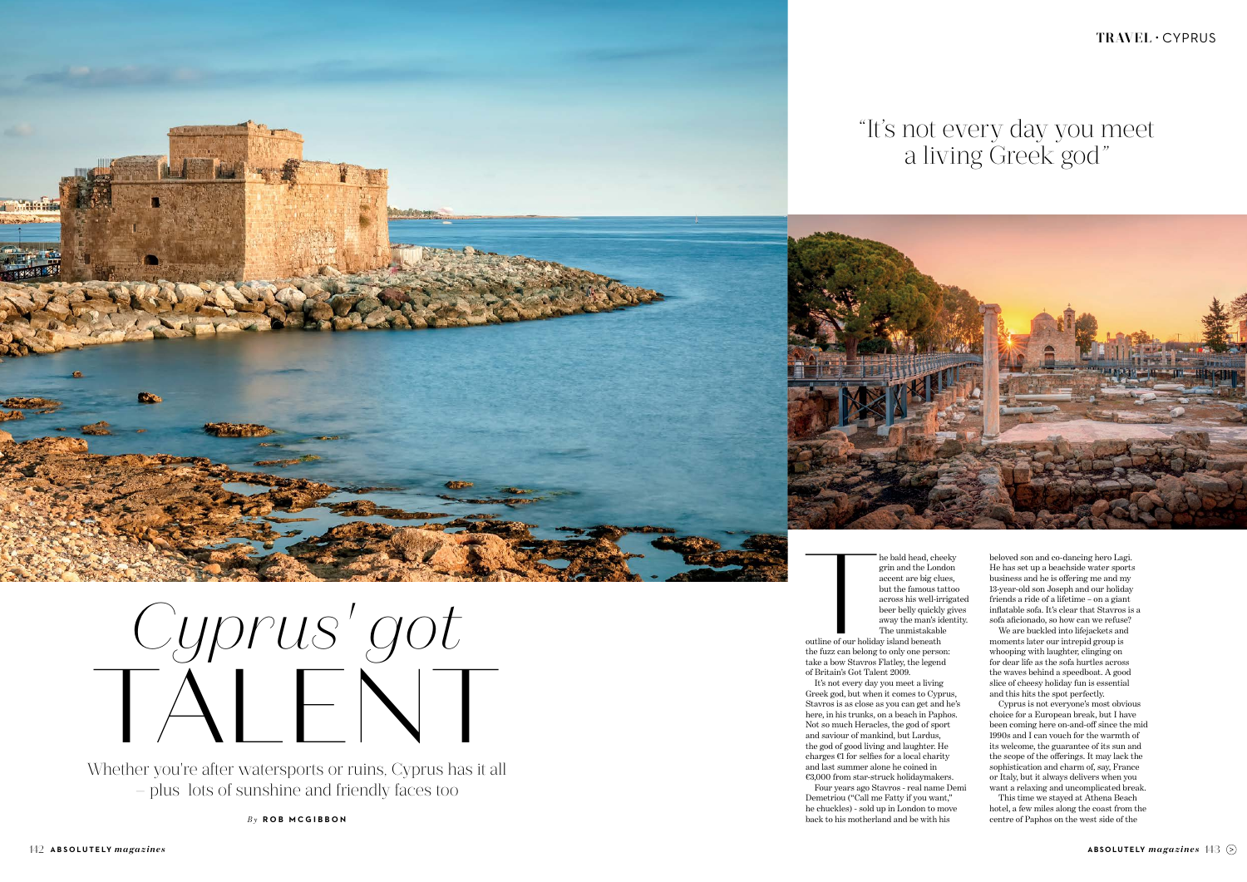## **TRAVEL** • CYPRUS

beloved son and co-dancing hero Lagi. He has set up a beachside water sports business and he is offering me and my 13-year-old son Joseph and our holiday friends a ride of a lifetime – on a giant inflatable sofa. It's clear that Stavros is a sofa aficionado, so how can we refuse?

We are buckled into lifejackets and moments later our intrepid group is whooping with laughter, clinging on for dear life as the sofa hurtles across the waves behind a speedboat. A good slice of cheesy holiday fun is essential and this hits the spot perfectly.

he bald head, cheeky<br>grin and the London<br>accent are big clues,<br>but the famous tattoc<br>across his well-irrigat<br>beer belly quickly giv<br>away the man's identi<br>The unmistakable<br>outline of our holiday island beneath<br>the fuzz can grin and the London accent are big clues, but the famous tattoo across his well-irrigated beer belly quickly gives away the man's identity. The unmistakable

> Cyprus is not everyone's most obvious choice for a European break, but I have been coming here on-and-off since the mid 1990s and I can vouch for the warmth of its welcome, the guarantee of its sun and the scope of the offerings. It may lack the sophistication and charm of, say, France or Italy, but it always delivers when you want a relaxing and uncomplicated break.

> This time we stayed at Athena Beach hotel, a few miles along the coast from the centre of Paphos on the west side of the

outline of our holiday island beneath the fuzz can belong to only one person: take a bow Stavros Flatley, the legend of Britain's Got Talent 2009.

It's not every day you meet a living Greek god, but when it comes to Cyprus, Stavros is as close as you can get and he's here, in his trunks, on a beach in Paphos. Not so much Heracles, the god of sport and saviour of mankind, but Lardus, the god of good living and laughter. He charges  $€1$  for selfies for a local charity and last summer alone he coined in €3,000 from star-struck holidaymakers.

Four years ago Stavros - real name Demi Demetriou ("Call me Fatty if you want," he chuckles) - sold up in London to move back to his motherland and be with his

Whether you're after watersports or ruins, Cyprus has it all – plus lots of sunshine and friendly faces too

*By* **ROB MCGIBBON**

## "It's not every day you meet a living Greek god"





## *Cyprus' got* TALENT